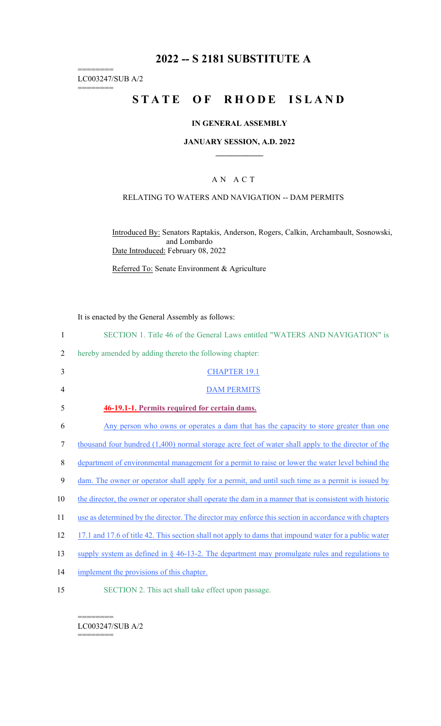# **2022 -- S 2181 SUBSTITUTE A**

======== LC003247/SUB A/2

========

# **STATE OF RHODE ISLAND**

## **IN GENERAL ASSEMBLY**

#### **JANUARY SESSION, A.D. 2022 \_\_\_\_\_\_\_\_\_\_\_\_**

### A N A C T

### RELATING TO WATERS AND NAVIGATION -- DAM PERMITS

Introduced By: Senators Raptakis, Anderson, Rogers, Calkin, Archambault, Sosnowski, and Lombardo Date Introduced: February 08, 2022

Referred To: Senate Environment & Agriculture

It is enacted by the General Assembly as follows:

| $\mathbf{1}$   | SECTION 1. Title 46 of the General Laws entitled "WATERS AND NAVIGATION" is                            |
|----------------|--------------------------------------------------------------------------------------------------------|
| 2              | hereby amended by adding thereto the following chapter:                                                |
| 3              | <b>CHAPTER 19.1</b>                                                                                    |
| $\overline{4}$ | <b>DAM PERMITS</b>                                                                                     |
| 5              | 46-19.1-1. Permits required for certain dams.                                                          |
| 6              | Any person who owns or operates a dam that has the capacity to store greater than one                  |
| 7              | thousand four hundred (1,400) normal storage acre feet of water shall apply to the director of the     |
| 8              | department of environmental management for a permit to raise or lower the water level behind the       |
| 9              | dam. The owner or operator shall apply for a permit, and until such time as a permit is issued by      |
| 10             | the director, the owner or operator shall operate the dam in a manner that is consistent with historic |
| 11             | use as determined by the director. The director may enforce this section in accordance with chapters   |
| 12             | 17.1 and 17.6 of title 42. This section shall not apply to dams that impound water for a public water  |
| 13             | supply system as defined in $\S$ 46-13-2. The department may promulgate rules and regulations to       |
| 14             | implement the provisions of this chapter.                                                              |
| 15             | SECTION 2. This act shall take effect upon passage.                                                    |

======== LC003247/SUB A/2

========